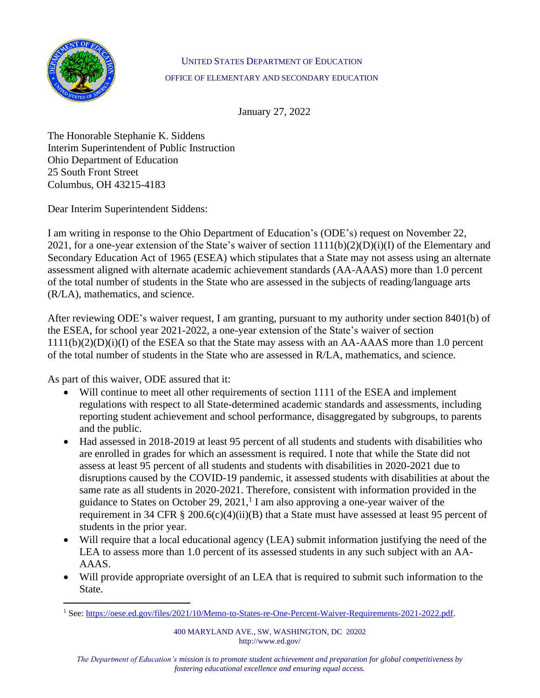

## UNITED STATES DEPARTMENT OF EDUCATION OFFICE OF ELEMENTARY AND SECONDARY EDUCATION

January 27, 2022

The Honorable Stephanie K. Siddens Interim Superintendent of Public Instruction Ohio Department of Education 25 South Front Street Columbus, OH 43215-4183

Dear Interim Superintendent Siddens:

I am writing in response to the Ohio Department of Education's (ODE's) request on November 22, 2021, for a one-year extension of the State's waiver of section  $1111(b)(2)(D)(i)(I)$  of the Elementary and Secondary Education Act of 1965 (ESEA) which stipulates that a State may not assess using an alternate assessment aligned with alternate academic achievement standards (AA-AAAS) more than 1.0 percent of the total number of students in the State who are assessed in the subjects of reading/language arts (R/LA), mathematics, and science.

After reviewing ODE's waiver request, I am granting, pursuant to my authority under section 8401(b) of the ESEA, for school year 2021-2022, a one-year extension of the State's waiver of section 1111(b)(2)(D)(i)(I) of the ESEA so that the State may assess with an AA-AAAS more than 1.0 percent of the total number of students in the State who are assessed in R/LA, mathematics, and science.

As part of this waiver, ODE assured that it:

- Will continue to meet all other requirements of section 1111 of the ESEA and implement regulations with respect to all State-determined academic standards and assessments, including reporting student achievement and school performance, disaggregated by subgroups, to parents and the public.
- Had assessed in 2018-2019 at least 95 percent of all students and students with disabilities who are enrolled in grades for which an assessment is required. I note that while the State did not assess at least 95 percent of all students and students with disabilities in 2020-2021 due to disruptions caused by the COVID-19 pandemic, it assessed students with disabilities at about the same rate as all students in 2020-2021. Therefore, consistent with information provided in the guidance to States on October 29, 2021, $<sup>1</sup>$  I am also approving a one-year waiver of the</sup> requirement in 34 CFR § 200.6(c)(4)(ii)(B) that a State must have assessed at least 95 percent of students in the prior year.
- Will require that a local educational agency (LEA) submit information justifying the need of the LEA to assess more than 1.0 percent of its assessed students in any such subject with an AA-AAAS.
- Will provide appropriate oversight of an LEA that is required to submit such information to the State.

<sup>&</sup>lt;sup>1</sup> See: [https://oese.ed.gov/files/2021/10/Memo-to-States-re-One-Percent-Waiver-Requirements-2021-2022.pdf.](https://oese.ed.gov/files/2021/10/Memo-to-States-re-One-Percent-Waiver-Requirements-2021-2022.pdf)